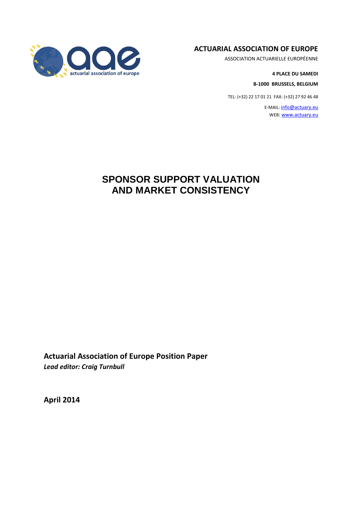#### **ACTUARIAL ASSOCIATION OF EUROPE**

ASSOCIATION ACTUARIELLE EUROPÉENNE

**4 PLACE DU SAMEDI**

**B-1000 BRUSSELS, BELGIUM**

TEL: (+32) 22 17 01 21 FAX: (+32) 27 92 46 48

E-MAIL: [info@actuary.eu](mailto:info@actuary.eu) WEB[: www.actuary.eu](http://www.actuary.eu/)



**Actuarial Association of Europe Position Paper** *Lead editor: Craig Turnbull*

**April 2014**

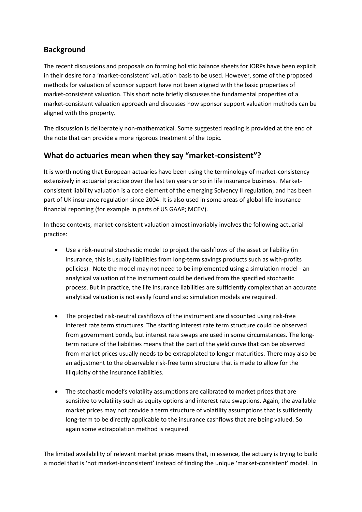# **Background**

The recent discussions and proposals on forming holistic balance sheets for IORPs have been explicit in their desire for a 'market-consistent' valuation basis to be used. However, some of the proposed methods for valuation of sponsor support have not been aligned with the basic properties of market-consistent valuation. This short note briefly discusses the fundamental properties of a market-consistent valuation approach and discusses how sponsor support valuation methods can be aligned with this property.

The discussion is deliberately non-mathematical. Some suggested reading is provided at the end of the note that can provide a more rigorous treatment of the topic.

# **What do actuaries mean when they say "market-consistent"?**

It is worth noting that European actuaries have been using the terminology of market-consistency extensively in actuarial practice over the last ten years or so in life insurance business. Marketconsistent liability valuation is a core element of the emerging Solvency II regulation, and has been part of UK insurance regulation since 2004. It is also used in some areas of global life insurance financial reporting (for example in parts of US GAAP; MCEV).

In these contexts, market-consistent valuation almost invariably involves the following actuarial practice:

- Use a risk-neutral stochastic model to project the cashflows of the asset or liability (in insurance, this is usually liabilities from long-term savings products such as with-profits policies). Note the model may not need to be implemented using a simulation model - an analytical valuation of the instrument could be derived from the specified stochastic process. But in practice, the life insurance liabilities are sufficiently complex that an accurate analytical valuation is not easily found and so simulation models are required.
- The projected risk-neutral cashflows of the instrument are discounted using risk-free interest rate term structures. The starting interest rate term structure could be observed from government bonds, but interest rate swaps are used in some circumstances. The longterm nature of the liabilities means that the part of the yield curve that can be observed from market prices usually needs to be extrapolated to longer maturities. There may also be an adjustment to the observable risk-free term structure that is made to allow for the illiquidity of the insurance liabilities.
- The stochastic model's volatility assumptions are calibrated to market prices that are sensitive to volatility such as equity options and interest rate swaptions. Again, the available market prices may not provide a term structure of volatility assumptions that is sufficiently long-term to be directly applicable to the insurance cashflows that are being valued. So again some extrapolation method is required.

The limited availability of relevant market prices means that, in essence, the actuary is trying to build a model that is 'not market-inconsistent' instead of finding the unique 'market-consistent' model. In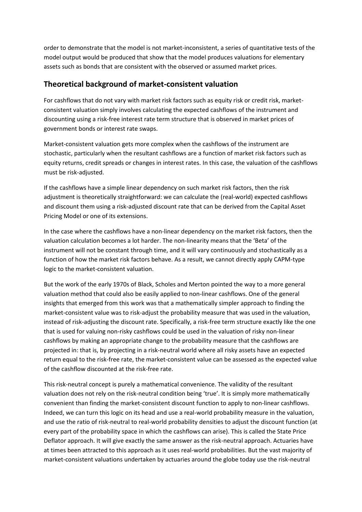order to demonstrate that the model is not market-inconsistent, a series of quantitative tests of the model output would be produced that show that the model produces valuations for elementary assets such as bonds that are consistent with the observed or assumed market prices.

### **Theoretical background of market-consistent valuation**

For cashflows that do not vary with market risk factors such as equity risk or credit risk, marketconsistent valuation simply involves calculating the expected cashflows of the instrument and discounting using a risk-free interest rate term structure that is observed in market prices of government bonds or interest rate swaps.

Market-consistent valuation gets more complex when the cashflows of the instrument are stochastic, particularly when the resultant cashflows are a function of market risk factors such as equity returns, credit spreads or changes in interest rates. In this case, the valuation of the cashflows must be risk-adjusted.

If the cashflows have a simple linear dependency on such market risk factors, then the risk adjustment is theoretically straightforward: we can calculate the (real-world) expected cashflows and discount them using a risk-adjusted discount rate that can be derived from the Capital Asset Pricing Model or one of its extensions.

In the case where the cashflows have a non-linear dependency on the market risk factors, then the valuation calculation becomes a lot harder. The non-linearity means that the 'Beta' of the instrument will not be constant through time, and it will vary continuously and stochastically as a function of how the market risk factors behave. As a result, we cannot directly apply CAPM-type logic to the market-consistent valuation.

But the work of the early 1970s of Black, Scholes and Merton pointed the way to a more general valuation method that could also be easily applied to non-linear cashflows. One of the general insights that emerged from this work was that a mathematically simpler approach to finding the market-consistent value was to risk-adjust the probability measure that was used in the valuation, instead of risk-adjusting the discount rate. Specifically, a risk-free term structure exactly like the one that is used for valuing non-risky cashflows could be used in the valuation of risky non-linear cashflows by making an appropriate change to the probability measure that the cashflows are projected in: that is, by projecting in a risk-neutral world where all risky assets have an expected return equal to the risk-free rate, the market-consistent value can be assessed as the expected value of the cashflow discounted at the risk-free rate.

This risk-neutral concept is purely a mathematical convenience. The validity of the resultant valuation does not rely on the risk-neutral condition being 'true'. It is simply more mathematically convenient than finding the market-consistent discount function to apply to non-linear cashflows. Indeed, we can turn this logic on its head and use a real-world probability measure in the valuation, and use the ratio of risk-neutral to real-world probability densities to adjust the discount function (at every part of the probability space in which the cashflows can arise). This is called the State Price Deflator approach. It will give exactly the same answer as the risk-neutral approach. Actuaries have at times been attracted to this approach as it uses real-world probabilities. But the vast majority of market-consistent valuations undertaken by actuaries around the globe today use the risk-neutral